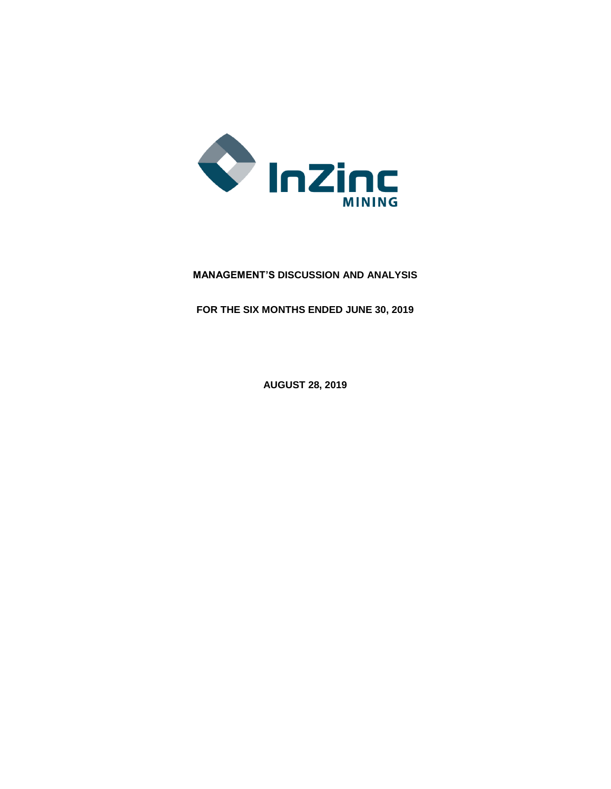

# **MANAGEMENT'S DISCUSSION AND ANALYSIS**

**FOR THE SIX MONTHS ENDED JUNE 30, 2019**

**AUGUST 28, 2019**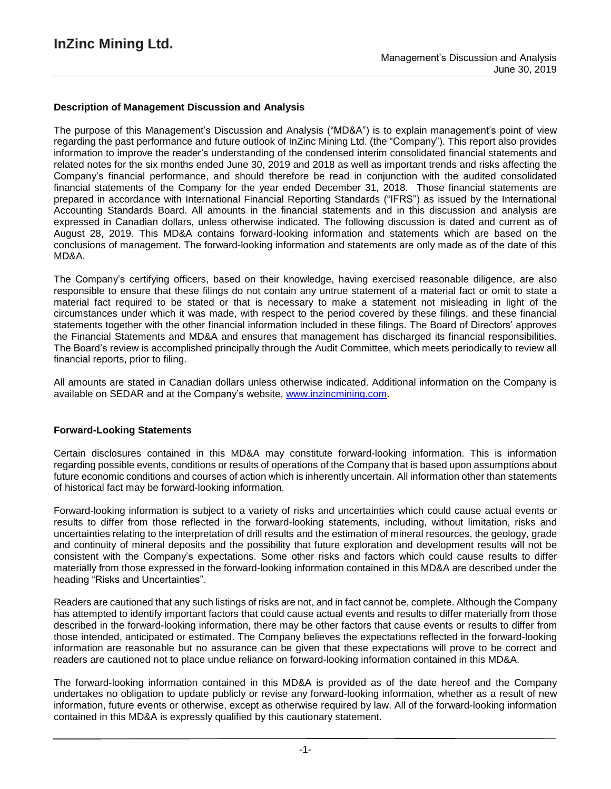## **Description of Management Discussion and Analysis**

The purpose of this Management's Discussion and Analysis ("MD&A") is to explain management's point of view regarding the past performance and future outlook of InZinc Mining Ltd. (the "Company"). This report also provides information to improve the reader's understanding of the condensed interim consolidated financial statements and related notes for the six months ended June 30, 2019 and 2018 as well as important trends and risks affecting the Company's financial performance, and should therefore be read in conjunction with the audited consolidated financial statements of the Company for the year ended December 31, 2018. Those financial statements are prepared in accordance with International Financial Reporting Standards ("IFRS") as issued by the International Accounting Standards Board. All amounts in the financial statements and in this discussion and analysis are expressed in Canadian dollars, unless otherwise indicated. The following discussion is dated and current as of August 28, 2019. This MD&A contains forward-looking information and statements which are based on the conclusions of management. The forward-looking information and statements are only made as of the date of this MD&A.

The Company's certifying officers, based on their knowledge, having exercised reasonable diligence, are also responsible to ensure that these filings do not contain any untrue statement of a material fact or omit to state a material fact required to be stated or that is necessary to make a statement not misleading in light of the circumstances under which it was made, with respect to the period covered by these filings, and these financial statements together with the other financial information included in these filings. The Board of Directors' approves the Financial Statements and MD&A and ensures that management has discharged its financial responsibilities. The Board's review is accomplished principally through the Audit Committee, which meets periodically to review all financial reports, prior to filing.

All amounts are stated in Canadian dollars unless otherwise indicated. Additional information on the Company is available on SEDAR and at the Company's website, www.inzincmining.com.

#### **Forward-Looking Statements**

Certain disclosures contained in this MD&A may constitute forward-looking information. This is information regarding possible events, conditions or results of operations of the Company that is based upon assumptions about future economic conditions and courses of action which is inherently uncertain. All information other than statements of historical fact may be forward-looking information.

Forward-looking information is subject to a variety of risks and uncertainties which could cause actual events or results to differ from those reflected in the forward-looking statements, including, without limitation, risks and uncertainties relating to the interpretation of drill results and the estimation of mineral resources, the geology, grade and continuity of mineral deposits and the possibility that future exploration and development results will not be consistent with the Company's expectations. Some other risks and factors which could cause results to differ materially from those expressed in the forward-looking information contained in this MD&A are described under the heading "Risks and Uncertainties".

Readers are cautioned that any such listings of risks are not, and in fact cannot be, complete. Although the Company has attempted to identify important factors that could cause actual events and results to differ materially from those described in the forward-looking information, there may be other factors that cause events or results to differ from those intended, anticipated or estimated. The Company believes the expectations reflected in the forward-looking information are reasonable but no assurance can be given that these expectations will prove to be correct and readers are cautioned not to place undue reliance on forward-looking information contained in this MD&A.

The forward-looking information contained in this MD&A is provided as of the date hereof and the Company undertakes no obligation to update publicly or revise any forward-looking information, whether as a result of new information, future events or otherwise, except as otherwise required by law. All of the forward-looking information contained in this MD&A is expressly qualified by this cautionary statement.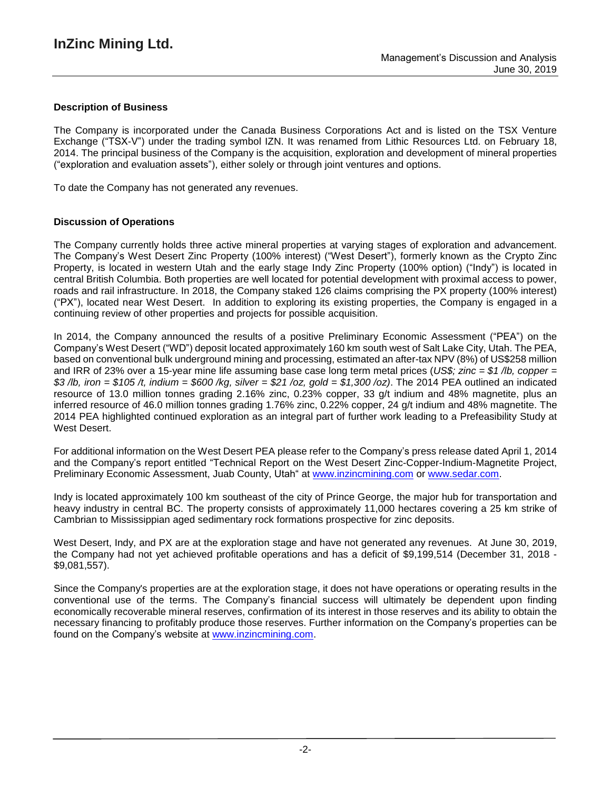# **Description of Business**

The Company is incorporated under the Canada Business Corporations Act and is listed on the TSX Venture Exchange ("TSX-V") under the trading symbol IZN. It was renamed from Lithic Resources Ltd. on February 18, 2014. The principal business of the Company is the acquisition, exploration and development of mineral properties ("exploration and evaluation assets"), either solely or through joint ventures and options.

To date the Company has not generated any revenues.

### **Discussion of Operations**

The Company currently holds three active mineral properties at varying stages of exploration and advancement. The Company's West Desert Zinc Property (100% interest) ("West Desert"), formerly known as the Crypto Zinc Property, is located in western Utah and the early stage Indy Zinc Property (100% option) ("Indy") is located in central British Columbia. Both properties are well located for potential development with proximal access to power, roads and rail infrastructure. In 2018, the Company staked 126 claims comprising the PX property (100% interest) ("PX"), located near West Desert. In addition to exploring its existing properties, the Company is engaged in a continuing review of other properties and projects for possible acquisition.

In 2014, the Company announced the results of a positive Preliminary Economic Assessment ("PEA") on the Company's West Desert ("WD") deposit located approximately 160 km south west of Salt Lake City, Utah. The PEA, based on conventional bulk underground mining and processing, estimated an after-tax NPV (8%) of US\$258 million and IRR of 23% over a 15-year mine life assuming base case long term metal prices (*US\$; zinc = \$1 /lb, copper =* \$3/lb, iron = \$105/t, indium = \$600/kg, silver = \$21/oz, gold = \$1,300/oz). The 2014 PEA outlined an indicated resource of 13.0 million tonnes grading 2.16% zinc, 0.23% copper, 33 g/t indium and 48% magnetite, plus an inferred resource of 46.0 million tonnes grading 1.76% zinc, 0.22% copper, 24 g/t indium and 48% magnetite. The 2014 PEA highlighted continued exploration as an integral part of further work leading to a Prefeasibility Study at West Desert.

For additional information on the West Desert PEA please refer to the Company's press release dated April 1, 2014 and the Company's report entitled "Technical Report on the West Desert Zinc-Copper-Indium-Magnetite Project, Preliminary Economic Assessment, Juab County, Utah" at [www.inzincmining.com](http://www.inzincmining.com/) or [www.sedar.com.](http://www.sedar.com/)

Indy is located approximately 100 km southeast of the city of Prince George, the major hub for transportation and heavy industry in central BC. The property consists of approximately 11,000 hectares covering a 25 km strike of Cambrian to Mississippian aged sedimentary rock formations prospective for zinc deposits.

West Desert, Indy, and PX are at the exploration stage and have not generated any revenues. At June 30, 2019, the Company had not yet achieved profitable operations and has a deficit of \$9,199,514 (December 31, 2018 - \$9,081,557).

Since the Company's properties are at the exploration stage, it does not have operations or operating results in the conventional use of the terms. The Company's financial success will ultimately be dependent upon finding economically recoverable mineral reserves, confirmation of its interest in those reserves and its ability to obtain the necessary financing to profitably produce those reserves. Further information on the Company's properties can be found on the Company's website at www.inzincmining.com.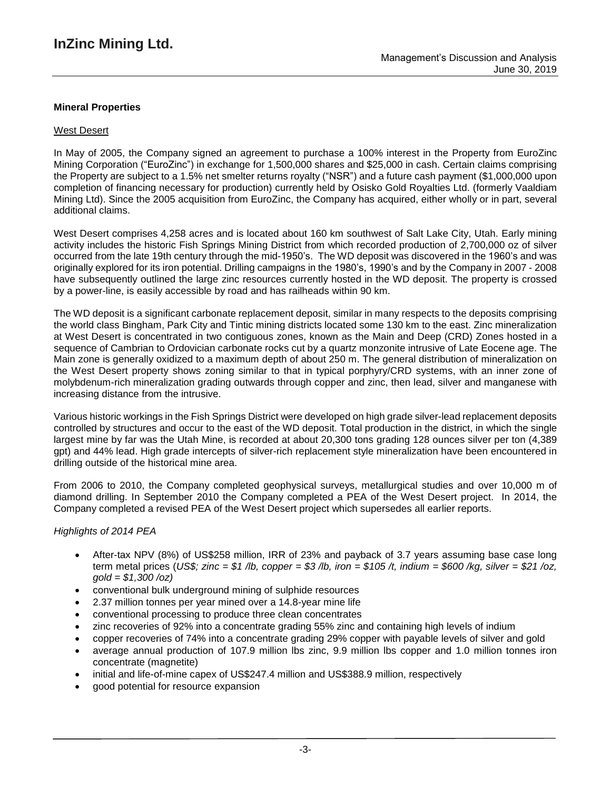# **Mineral Properties**

## West Desert

In May of 2005, the Company signed an agreement to purchase a 100% interest in the Property from EuroZinc Mining Corporation ("EuroZinc") in exchange for 1,500,000 shares and \$25,000 in cash. Certain claims comprising the Property are subject to a 1.5% net smelter returns royalty ("NSR") and a future cash payment (\$1,000,000 upon completion of financing necessary for production) currently held by Osisko Gold Royalties Ltd. (formerly Vaaldiam Mining Ltd). Since the 2005 acquisition from EuroZinc, the Company has acquired, either wholly or in part, several additional claims.

West Desert comprises 4,258 acres and is located about 160 km southwest of Salt Lake City, Utah. Early mining activity includes the historic Fish Springs Mining District from which recorded production of 2,700,000 oz of silver occurred from the late 19th century through the mid-1950's. The WD deposit was discovered in the 1960's and was originally explored for its iron potential. Drilling campaigns in the 1980's, 1990's and by the Company in 2007 - 2008 have subsequently outlined the large zinc resources currently hosted in the WD deposit. The property is crossed by a power-line, is easily accessible by road and has railheads within 90 km.

The WD deposit is a significant carbonate replacement deposit, similar in many respects to the deposits comprising the world class Bingham, Park City and Tintic mining districts located some 130 km to the east. Zinc mineralization at West Desert is concentrated in two contiguous zones, known as the Main and Deep (CRD) Zones hosted in a sequence of Cambrian to Ordovician carbonate rocks cut by a quartz monzonite intrusive of Late Eocene age. The Main zone is generally oxidized to a maximum depth of about 250 m. The general distribution of mineralization on the West Desert property shows zoning similar to that in typical porphyry/CRD systems, with an inner zone of molybdenum-rich mineralization grading outwards through copper and zinc, then lead, silver and manganese with increasing distance from the intrusive.

Various historic workings in the Fish Springs District were developed on high grade silver-lead replacement deposits controlled by structures and occur to the east of the WD deposit. Total production in the district, in which the single largest mine by far was the Utah Mine, is recorded at about 20,300 tons grading 128 ounces silver per ton (4,389 gpt) and 44% lead. High grade intercepts of silver-rich replacement style mineralization have been encountered in drilling outside of the historical mine area.

From 2006 to 2010, the Company completed geophysical surveys, metallurgical studies and over 10,000 m of diamond drilling. In September 2010 the Company completed a PEA of the West Desert project. In 2014, the Company completed a revised PEA of the West Desert project which supersedes all earlier reports.

# *Highlights of 2014 PEA*

- After-tax NPV (8%) of US\$258 million, IRR of 23% and payback of 3.7 years assuming base case long term metal prices (US\$; zinc = \$1 /b, copper = \$3 /b, iron = \$105 /t, indium = \$600 /kg, silver = \$21 /oz, *gold = \$1,300 /oz)*
- conventional bulk underground mining of sulphide resources
- 2.37 million tonnes per year mined over a 14.8-year mine life
- conventional processing to produce three clean concentrates
- zinc recoveries of 92% into a concentrate grading 55% zinc and containing high levels of indium
- copper recoveries of 74% into a concentrate grading 29% copper with payable levels of silver and gold
- average annual production of 107.9 million lbs zinc, 9.9 million lbs copper and 1.0 million tonnes iron concentrate (magnetite)
- initial and life-of-mine capex of US\$247.4 million and US\$388.9 million, respectively
- good potential for resource expansion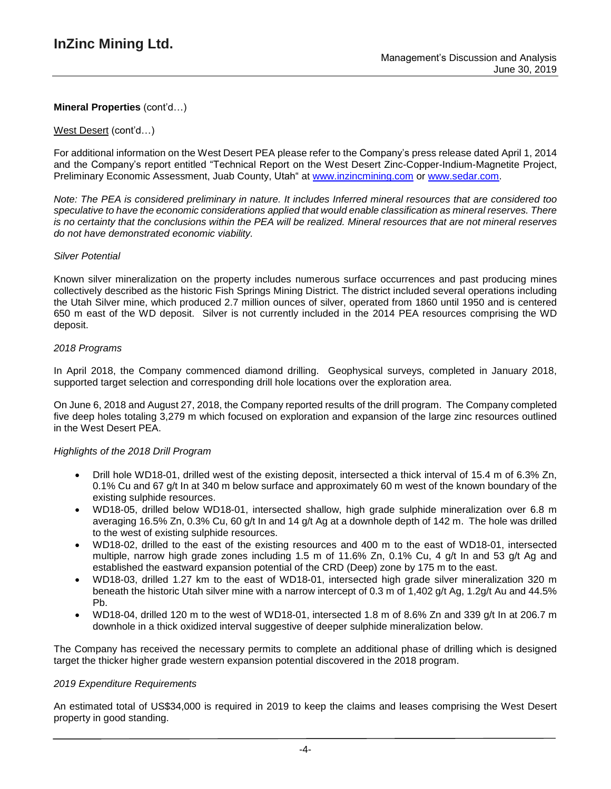### West Desert (cont'd…)

For additional information on the West Desert PEA please refer to the Company's press release dated April 1, 2014 and the Company's report entitled "Technical Report on the West Desert Zinc-Copper-Indium-Magnetite Project, Preliminary Economic Assessment, Juab County, Utah" at [www.inzincmining.com](http://www.inzincmining.com/) or [www.sedar.com.](http://www.sedar.com/)

Note: The PEA is considered preliminary in nature. It includes Inferred mineral resources that are considered too *speculative to have the economic considerations applied that would enable classification as mineral reserves. There* is no certainty that the conclusions within the PEA will be realized. Mineral resources that are not mineral reserves *do not have demonstrated economic viability.*

### *Silver Potential*

Known silver mineralization on the property includes numerous surface occurrences and past producing mines collectively described as the historic Fish Springs Mining District. The district included several operations including the Utah Silver mine, which produced 2.7 million ounces of silver, operated from 1860 until 1950 and is centered 650 m east of the WD deposit. Silver is not currently included in the 2014 PEA resources comprising the WD deposit.

### *2018 Programs*

In April 2018, the Company commenced diamond drilling. Geophysical surveys, completed in January 2018, supported target selection and corresponding drill hole locations over the exploration area.

On June 6, 2018 and August 27, 2018, the Company reported results of the drill program. The Company completed five deep holes totaling 3,279 m which focused on exploration and expansion of the large zinc resources outlined in the West Desert PEA.

#### *Highlights of the 2018 Drill Program*

- Drill hole WD18-01, drilled west of the existing deposit, intersected a thick interval of 15.4 m of 6.3% Zn, 0.1% Cu and 67 g/t In at 340 m below surface and approximately 60 m west of the known boundary of the existing sulphide resources.
- WD18-05, drilled below WD18-01, intersected shallow, high grade sulphide mineralization over 6.8 m averaging 16.5% Zn, 0.3% Cu, 60 g/t In and 14 g/t Ag at a downhole depth of 142 m. The hole was drilled to the west of existing sulphide resources.
- WD18-02, drilled to the east of the existing resources and 400 m to the east of WD18-01, intersected multiple, narrow high grade zones including 1.5 m of 11.6% Zn, 0.1% Cu, 4 g/t In and 53 g/t Ag and established the eastward expansion potential of the CRD (Deep) zone by 175 m to the east.
- WD18-03, drilled 1.27 km to the east of WD18-01, intersected high grade silver mineralization 320 m beneath the historic Utah silver mine with a narrow intercept of 0.3 m of 1,402 g/t Ag, 1.2g/t Au and 44.5% Pb.
- WD18-04, drilled 120 m to the west of WD18-01, intersected 1.8 m of 8.6% Zn and 339 g/t In at 206.7 m downhole in a thick oxidized interval suggestive of deeper sulphide mineralization below.

The Company has received the necessary permits to complete an additional phase of drilling which is designed target the thicker higher grade western expansion potential discovered in the 2018 program.

#### *2019 Expenditure Requirements*

An estimated total of US\$34,000 is required in 2019 to keep the claims and leases comprising the West Desert property in good standing.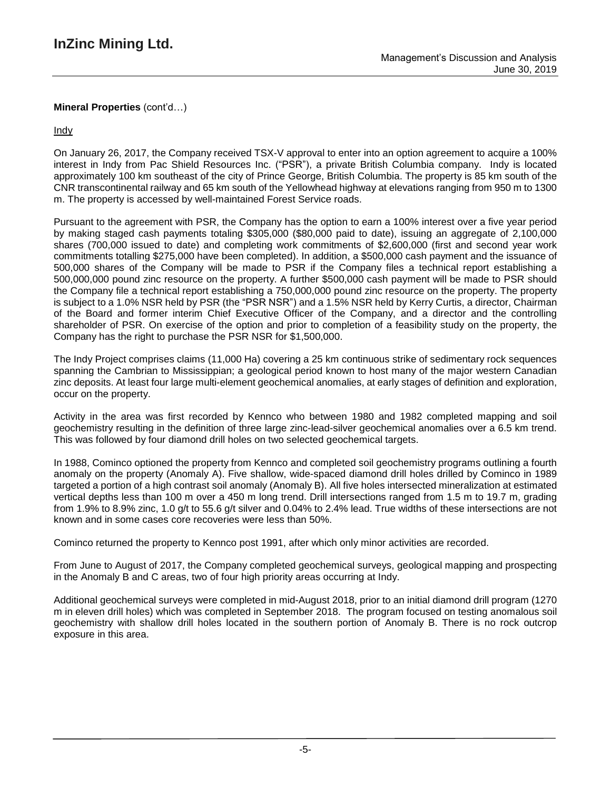**Indy** 

On January 26, 2017, the Company received TSX-V approval to enter into an option agreement to acquire a 100% interest in Indy from Pac Shield Resources Inc. ("PSR"), a private British Columbia company. Indy is located approximately 100 km southeast of the city of Prince George, British Columbia. The property is 85 km south of the CNR transcontinental railway and 65 km south of the Yellowhead highway at elevations ranging from 950 m to 1300 m. The property is accessed by well-maintained Forest Service roads.

Pursuant to the agreement with PSR, the Company has the option to earn a 100% interest over a five year period by making staged cash payments totaling \$305,000 (\$80,000 paid to date), issuing an aggregate of 2,100,000 shares (700,000 issued to date) and completing work commitments of \$2,600,000 (first and second year work commitments totalling \$275,000 have been completed). In addition, a \$500,000 cash payment and the issuance of 500,000 shares of the Company will be made to PSR if the Company files a technical report establishing a 500,000,000 pound zinc resource on the property. A further \$500,000 cash payment will be made to PSR should the Company file a technical report establishing a 750,000,000 pound zinc resource on the property. The property is subject to a 1.0% NSR held by PSR (the "PSR NSR") and a 1.5% NSR held by Kerry Curtis, a director, Chairman of the Board and former interim Chief Executive Officer of the Company, and a director and the controlling shareholder of PSR. On exercise of the option and prior to completion of a feasibility study on the property, the Company has the right to purchase the PSR NSR for \$1,500,000.

The Indy Project comprises claims (11,000 Ha) covering a 25 km continuous strike of sedimentary rock sequences spanning the Cambrian to Mississippian; a geological period known to host many of the major western Canadian zinc deposits. At least four large multi-element geochemical anomalies, at early stages of definition and exploration, occur on the property.

Activity in the area was first recorded by Kennco who between 1980 and 1982 completed mapping and soil geochemistry resulting in the definition of three large zinc-lead-silver geochemical anomalies over a 6.5 km trend. This was followed by four diamond drill holes on two selected geochemical targets.

In 1988, Cominco optioned the property from Kennco and completed soil geochemistry programs outlining a fourth anomaly on the property (Anomaly A). Five shallow, wide-spaced diamond drill holes drilled by Cominco in 1989 targeted a portion of a high contrast soil anomaly (Anomaly B). All five holes intersected mineralization at estimated vertical depths less than 100 m over a 450 m long trend. Drill intersections ranged from 1.5 m to 19.7 m, grading from 1.9% to 8.9% zinc, 1.0 g/t to 55.6 g/t silver and 0.04% to 2.4% lead. True widths of these intersections are not known and in some cases core recoveries were less than 50%.

Cominco returned the property to Kennco post 1991, after which only minor activities are recorded.

From June to August of 2017, the Company completed geochemical surveys, geological mapping and prospecting in the Anomaly B and C areas, two of four high priority areas occurring at Indy.

Additional geochemical surveys were completed in mid-August 2018, prior to an initial diamond drill program (1270 m in eleven drill holes) which was completed in September 2018. The program focused on testing anomalous soil geochemistry with shallow drill holes located in the southern portion of Anomaly B. There is no rock outcrop exposure in this area.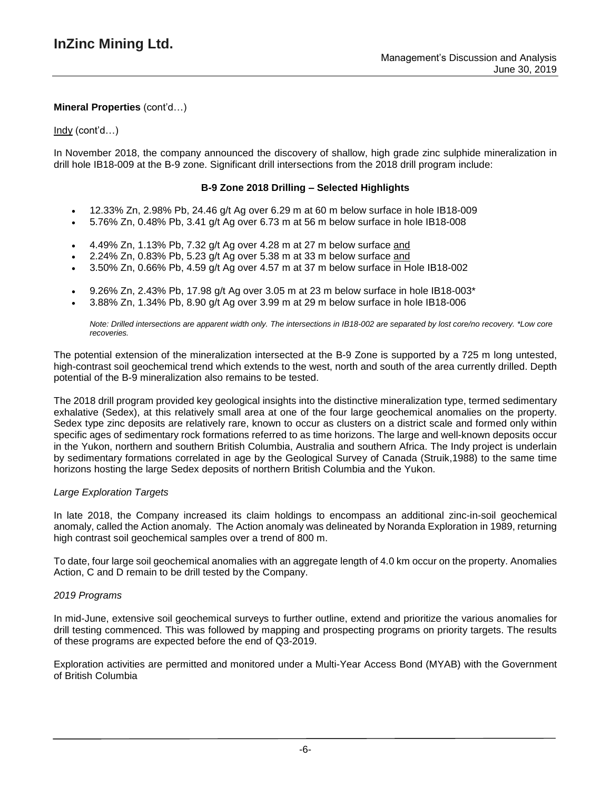### Indy (cont'd…)

In November 2018, the company announced the discovery of shallow, high grade zinc sulphide mineralization in drill hole IB18-009 at the B-9 zone. Significant drill intersections from the 2018 drill program include:

## **B-9 Zone 2018 Drilling – Selected Highlights**

- 12.33% Zn, 2.98% Pb, 24.46 g/t Ag over 6.29 m at 60 m below surface in hole IB18-009
- 5.76% Zn, 0.48% Pb, 3.41 g/t Ag over 6.73 m at 56 m below surface in hole IB18-008
- 4.49% Zn, 1.13% Pb, 7.32 g/t Ag over 4.28 m at 27 m below surface and
- 2.24% Zn, 0.83% Pb, 5.23 g/t Ag over 5.38 m at 33 m below surface and
- 3.50% Zn, 0.66% Pb, 4.59 g/t Ag over 4.57 m at 37 m below surface in Hole IB18-002
- 9.26% Zn, 2.43% Pb, 17.98 g/t Ag over 3.05 m at 23 m below surface in hole IB18-003\*
- 3.88% Zn, 1.34% Pb, 8.90 g/t Ag over 3.99 m at 29 m below surface in hole IB18-006

Note: Drilled intersections are apparent width only. The intersections in IB18-002 are separated by lost core/no recovery. \*Low core *recoveries.*

The potential extension of the mineralization intersected at the B-9 Zone is supported by a 725 m long untested, high-contrast soil geochemical trend which extends to the west, north and south of the area currently drilled. Depth potential of the B-9 mineralization also remains to be tested.

The 2018 drill program provided key geological insights into the distinctive mineralization type, termed sedimentary exhalative (Sedex), at this relatively small area at one of the four large geochemical anomalies on the property. Sedex type zinc deposits are relatively rare, known to occur as clusters on a district scale and formed only within specific ages of sedimentary rock formations referred to as time horizons. The large and well-known deposits occur in the Yukon, northern and southern British Columbia, Australia and southern Africa. The Indy project is underlain by sedimentary formations correlated in age by the Geological Survey of Canada (Struik,1988) to the same time horizons hosting the large Sedex deposits of northern British Columbia and the Yukon.

#### *Large Exploration Targets*

In late 2018, the Company increased its claim holdings to encompass an additional zinc-in-soil geochemical anomaly, called the Action anomaly. The Action anomaly was delineated by Noranda Exploration in 1989, returning high contrast soil geochemical samples over a trend of 800 m.

To date, four large soil geochemical anomalies with an aggregate length of 4.0 km occur on the property. Anomalies Action, C and D remain to be drill tested by the Company.

#### *2019 Programs*

In mid-June, extensive soil geochemical surveys to further outline, extend and prioritize the various anomalies for drill testing commenced. This was followed by mapping and prospecting programs on priority targets. The results of these programs are expected before the end of Q3-2019.

Exploration activities are permitted and monitored under a Multi-Year Access Bond (MYAB) with the Government of British Columbia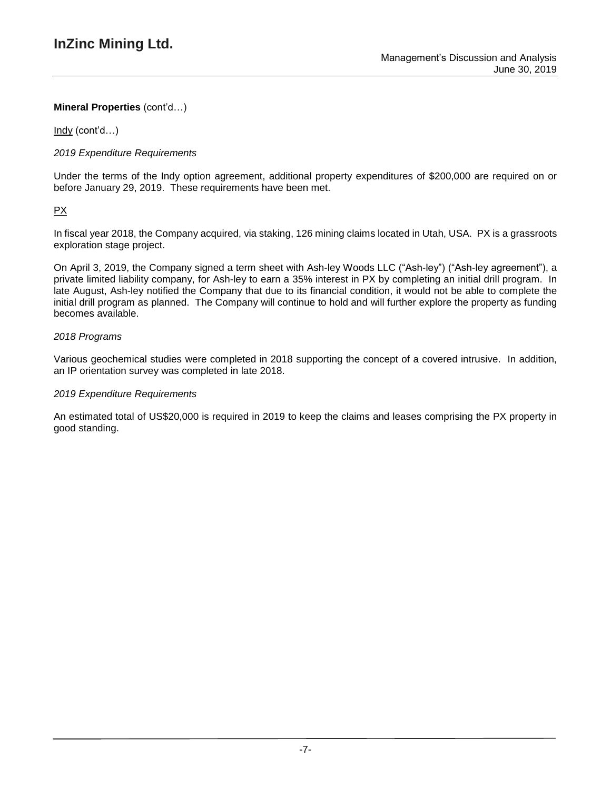Indy (cont'd…)

# *2019 Expenditure Requirements*

Under the terms of the Indy option agreement, additional property expenditures of \$200,000 are required on or before January 29, 2019. These requirements have been met.

# PX

In fiscal year 2018, the Company acquired, via staking, 126 mining claims located in Utah, USA. PX is a grassroots exploration stage project.

On April 3, 2019, the Company signed a term sheet with Ash-ley Woods LLC ("Ash-ley") ("Ash-ley agreement"), a private limited liability company, for Ash-ley to earn a 35% interest in PX by completing an initial drill program. In late August, Ash-ley notified the Company that due to its financial condition, it would not be able to complete the initial drill program as planned. The Company will continue to hold and will further explore the property as funding becomes available.

# *2018 Programs*

Various geochemical studies were completed in 2018 supporting the concept of a covered intrusive. In addition, an IP orientation survey was completed in late 2018.

## *2019 Expenditure Requirements*

An estimated total of US\$20,000 is required in 2019 to keep the claims and leases comprising the PX property in good standing.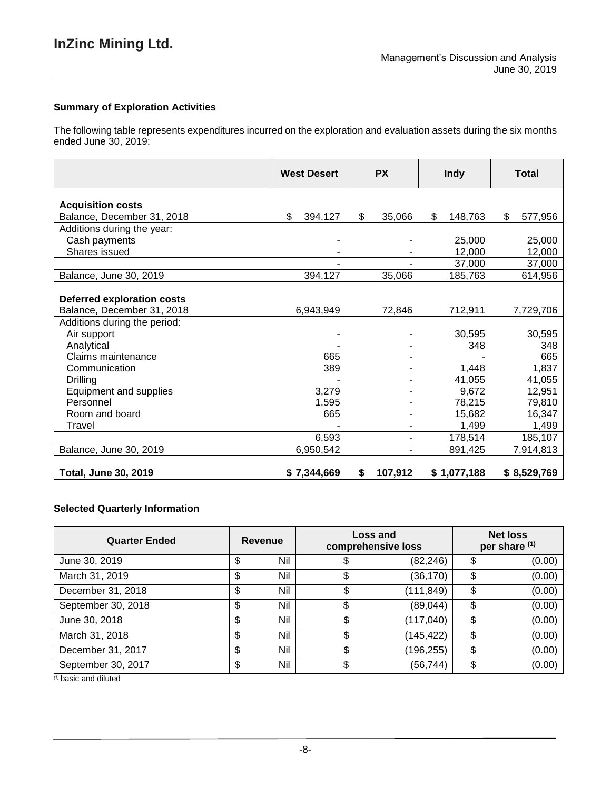# **Summary of Exploration Activities**

The following table represents expenditures incurred on the exploration and evaluation assets during the six months ended June 30, 2019:

|                                   | <b>West Desert</b> | <b>PX</b>     | <b>Indy</b>   | Total         |
|-----------------------------------|--------------------|---------------|---------------|---------------|
| <b>Acquisition costs</b>          |                    |               |               |               |
| Balance, December 31, 2018        | \$<br>394,127      | 35,066<br>\$  | \$<br>148,763 | \$<br>577,956 |
| Additions during the year:        |                    |               |               |               |
| Cash payments                     |                    |               | 25,000        | 25,000        |
| Shares issued                     |                    |               | 12,000        | 12,000        |
|                                   |                    |               | 37,000        | 37,000        |
| Balance, June 30, 2019            | 394,127            | 35,066        | 185,763       | 614,956       |
| <b>Deferred exploration costs</b> |                    |               |               |               |
| Balance, December 31, 2018        | 6,943,949          | 72,846        | 712,911       | 7,729,706     |
| Additions during the period:      |                    |               |               |               |
| Air support                       |                    |               | 30.595        | 30,595        |
| Analytical                        |                    |               | 348           | 348           |
| Claims maintenance                | 665                |               |               | 665           |
| Communication                     | 389                |               | 1,448         | 1,837         |
| Drilling                          |                    |               | 41,055        | 41,055        |
| Equipment and supplies            | 3,279              |               | 9,672         | 12,951        |
| Personnel                         | 1,595              |               | 78,215        | 79,810        |
| Room and board                    | 665                |               | 15,682        | 16,347        |
| Travel                            |                    |               | 1,499         | 1,499         |
|                                   | 6,593              |               | 178,514       | 185,107       |
| Balance, June 30, 2019            | 6,950,542          | ۰             | 891,425       | 7,914,813     |
| <b>Total, June 30, 2019</b>       | \$7,344,669        | 107,912<br>\$ | \$1,077,188   | \$8,529,769   |

# **Selected Quarterly Information**

| <b>Quarter Ended</b> | Revenue   | Loss and<br>comprehensive loss |            | <b>Net loss</b><br>per share (1) |        |
|----------------------|-----------|--------------------------------|------------|----------------------------------|--------|
| June 30, 2019        | \$<br>Nil |                                | (82, 246)  | \$                               | (0.00) |
| March 31, 2019       | \$<br>Nil |                                | (36, 170)  | \$                               | (0.00) |
| December 31, 2018    | \$<br>Nil | \$                             | (111,849)  | \$                               | (0.00) |
| September 30, 2018   | \$<br>Nil | \$                             | (89,044)   | \$                               | (0.00) |
| June 30, 2018        | \$<br>Nil | \$                             | (117, 040) | \$                               | (0.00) |
| March 31, 2018       | \$<br>Nil | \$                             | (145, 422) | \$                               | (0.00) |
| December 31, 2017    | \$<br>Nil | \$                             | (196, 255) | \$                               | (0.00) |
| September 30, 2017   | \$<br>Nil | \$                             | (56, 744)  | \$                               | (0.00) |

*(1)* basic and diluted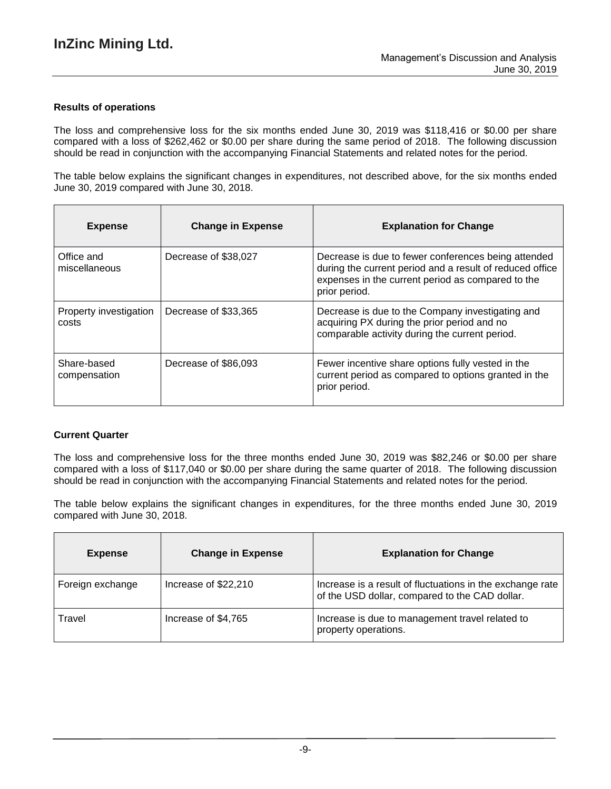### **Results of operations**

The loss and comprehensive loss for the six months ended June 30, 2019 was \$118,416 or \$0.00 per share compared with a loss of \$262,462 or \$0.00 per share during the same period of 2018. The following discussion should be read in conjunction with the accompanying Financial Statements and related notes for the period.

The table below explains the significant changes in expenditures, not described above, for the six months ended June 30, 2019 compared with June 30, 2018.

| <b>Expense</b>                  | <b>Change in Expense</b> | <b>Explanation for Change</b>                                                                                                                                                         |
|---------------------------------|--------------------------|---------------------------------------------------------------------------------------------------------------------------------------------------------------------------------------|
| Office and<br>miscellaneous     | Decrease of \$38,027     | Decrease is due to fewer conferences being attended<br>during the current period and a result of reduced office<br>expenses in the current period as compared to the<br>prior period. |
| Property investigation<br>costs | Decrease of \$33,365     | Decrease is due to the Company investigating and<br>acquiring PX during the prior period and no<br>comparable activity during the current period.                                     |
| Share-based<br>compensation     | Decrease of \$86,093     | Fewer incentive share options fully vested in the<br>current period as compared to options granted in the<br>prior period.                                                            |

#### **Current Quarter**

The loss and comprehensive loss for the three months ended June 30, 2019 was \$82,246 or \$0.00 per share compared with a loss of \$117,040 or \$0.00 per share during the same quarter of 2018. The following discussion should be read in conjunction with the accompanying Financial Statements and related notes for the period.

The table below explains the significant changes in expenditures, for the three months ended June 30, 2019 compared with June 30, 2018.

| <b>Expense</b>   | <b>Change in Expense</b> | <b>Explanation for Change</b>                                                                               |
|------------------|--------------------------|-------------------------------------------------------------------------------------------------------------|
| Foreign exchange | Increase of \$22,210     | Increase is a result of fluctuations in the exchange rate<br>of the USD dollar, compared to the CAD dollar. |
| Travel           | Increase of \$4,765      | Increase is due to management travel related to<br>property operations.                                     |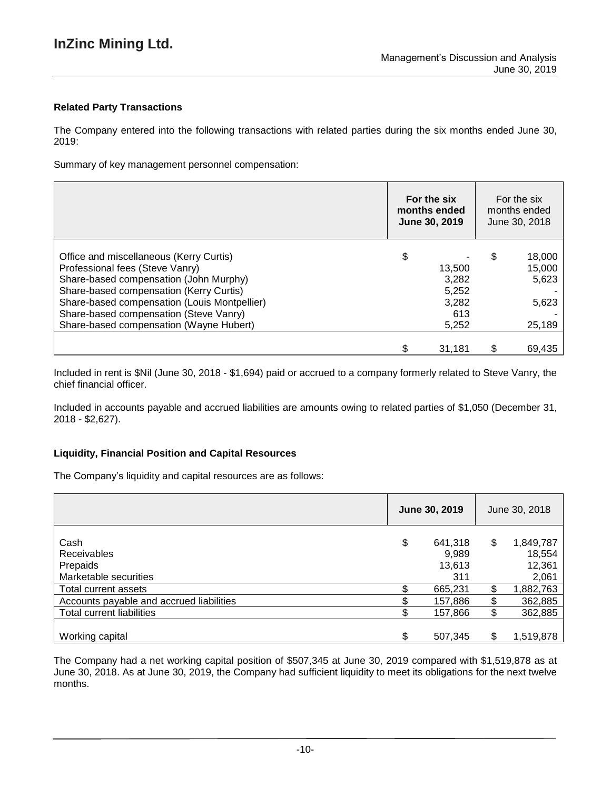# **Related Party Transactions**

The Company entered into the following transactions with related parties during the six months ended June 30, 2019:

Summary of key management personnel compensation:

|                                              | For the six<br>months ended<br>June 30, 2019 | For the six<br>months ended<br>June 30, 2018 |
|----------------------------------------------|----------------------------------------------|----------------------------------------------|
| Office and miscellaneous (Kerry Curtis)      | \$                                           | \$<br>18,000                                 |
| Professional fees (Steve Vanry)              | 13,500                                       | 15,000                                       |
| Share-based compensation (John Murphy)       | 3,282                                        | 5,623                                        |
| Share-based compensation (Kerry Curtis)      | 5,252                                        |                                              |
| Share-based compensation (Louis Montpellier) | 3,282                                        | 5,623                                        |
| Share-based compensation (Steve Vanry)       | 613                                          |                                              |
| Share-based compensation (Wayne Hubert)      | 5,252                                        | 25,189                                       |
|                                              |                                              |                                              |
|                                              | 31.181                                       | 69,435                                       |

Included in rent is \$Nil (June 30, 2018 - \$1,694) paid or accrued to a company formerly related to Steve Vanry, the chief financial officer.

Included in accounts payable and accrued liabilities are amounts owing to related parties of \$1,050 (December 31, 2018 - \$2,627).

#### **Liquidity, Financial Position and Capital Resources**

The Company's liquidity and capital resources are as follows:

|                                                          | June 30, 2019 |                                   | June 30, 2018 |                                        |
|----------------------------------------------------------|---------------|-----------------------------------|---------------|----------------------------------------|
| Cash<br>Receivables<br>Prepaids<br>Marketable securities | \$            | 641,318<br>9,989<br>13,613<br>311 | \$            | 1,849,787<br>18,554<br>12,361<br>2,061 |
| Total current assets                                     |               | 665,231                           | \$            | 1,882,763                              |
| Accounts payable and accrued liabilities                 |               | 157,886                           | \$            | 362,885                                |
| Total current liabilities                                |               | 157,866                           | \$            | 362,885                                |
| Working capital                                          | \$            | 507,345                           | \$            | 1,519,878                              |

The Company had a net working capital position of \$507,345 at June 30, 2019 compared with \$1,519,878 as at June 30, 2018. As at June 30, 2019, the Company had sufficient liquidity to meet its obligations for the next twelve months.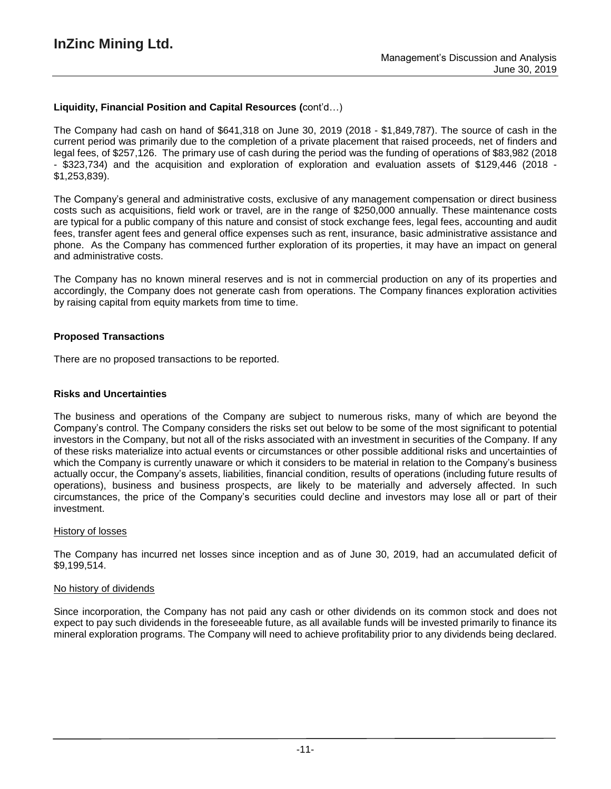# **Liquidity, Financial Position and Capital Resources (**cont'd…)

The Company had cash on hand of \$641,318 on June 30, 2019 (2018 - \$1,849,787). The source of cash in the current period was primarily due to the completion of a private placement that raised proceeds, net of finders and legal fees, of \$257,126. The primary use of cash during the period was the funding of operations of \$83,982 (2018 - \$323,734) and the acquisition and exploration of exploration and evaluation assets of \$129,446 (2018 - \$1,253,839).

The Company's general and administrative costs, exclusive of any management compensation or direct business costs such as acquisitions, field work or travel, are in the range of \$250,000 annually. These maintenance costs are typical for a public company of this nature and consist of stock exchange fees, legal fees, accounting and audit fees, transfer agent fees and general office expenses such as rent, insurance, basic administrative assistance and phone. As the Company has commenced further exploration of its properties, it may have an impact on general and administrative costs.

The Company has no known mineral reserves and is not in commercial production on any of its properties and accordingly, the Company does not generate cash from operations. The Company finances exploration activities by raising capital from equity markets from time to time.

### **Proposed Transactions**

There are no proposed transactions to be reported.

### **Risks and Uncertainties**

The business and operations of the Company are subject to numerous risks, many of which are beyond the Company's control. The Company considers the risks set out below to be some of the most significant to potential investors in the Company, but not all of the risks associated with an investment in securities of the Company. If any of these risks materialize into actual events or circumstances or other possible additional risks and uncertainties of which the Company is currently unaware or which it considers to be material in relation to the Company's business actually occur, the Company's assets, liabilities, financial condition, results of operations (including future results of operations), business and business prospects, are likely to be materially and adversely affected. In such circumstances, the price of the Company's securities could decline and investors may lose all or part of their investment.

#### History of losses

The Company has incurred net losses since inception and as of June 30, 2019, had an accumulated deficit of \$9,199,514.

#### No history of dividends

Since incorporation, the Company has not paid any cash or other dividends on its common stock and does not expect to pay such dividends in the foreseeable future, as all available funds will be invested primarily to finance its mineral exploration programs. The Company will need to achieve profitability prior to any dividends being declared.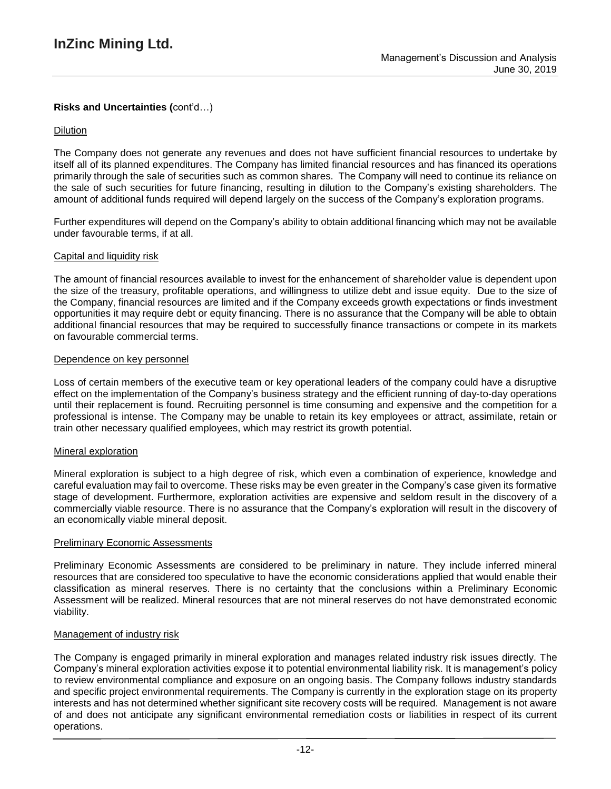# **Risks and Uncertainties (**cont'd…)

### Dilution

The Company does not generate any revenues and does not have sufficient financial resources to undertake by itself all of its planned expenditures. The Company has limited financial resources and has financed its operations primarily through the sale of securities such as common shares. The Company will need to continue its reliance on the sale of such securities for future financing, resulting in dilution to the Company's existing shareholders. The amount of additional funds required will depend largely on the success of the Company's exploration programs.

Further expenditures will depend on the Company's ability to obtain additional financing which may not be available under favourable terms, if at all.

#### Capital and liquidity risk

The amount of financial resources available to invest for the enhancement of shareholder value is dependent upon the size of the treasury, profitable operations, and willingness to utilize debt and issue equity. Due to the size of the Company, financial resources are limited and if the Company exceeds growth expectations or finds investment opportunities it may require debt or equity financing. There is no assurance that the Company will be able to obtain additional financial resources that may be required to successfully finance transactions or compete in its markets on favourable commercial terms.

#### Dependence on key personnel

Loss of certain members of the executive team or key operational leaders of the company could have a disruptive effect on the implementation of the Company's business strategy and the efficient running of day-to-day operations until their replacement is found. Recruiting personnel is time consuming and expensive and the competition for a professional is intense. The Company may be unable to retain its key employees or attract, assimilate, retain or train other necessary qualified employees, which may restrict its growth potential.

#### Mineral exploration

Mineral exploration is subject to a high degree of risk, which even a combination of experience, knowledge and careful evaluation may fail to overcome. These risks may be even greater in the Company's case given its formative stage of development. Furthermore, exploration activities are expensive and seldom result in the discovery of a commercially viable resource. There is no assurance that the Company's exploration will result in the discovery of an economically viable mineral deposit.

#### Preliminary Economic Assessments

Preliminary Economic Assessments are considered to be preliminary in nature. They include inferred mineral resources that are considered too speculative to have the economic considerations applied that would enable their classification as mineral reserves. There is no certainty that the conclusions within a Preliminary Economic Assessment will be realized. Mineral resources that are not mineral reserves do not have demonstrated economic viability.

#### Management of industry risk

The Company is engaged primarily in mineral exploration and manages related industry risk issues directly. The Company's mineral exploration activities expose it to potential environmental liability risk. It is management's policy to review environmental compliance and exposure on an ongoing basis. The Company follows industry standards and specific project environmental requirements. The Company is currently in the exploration stage on its property interests and has not determined whether significant site recovery costs will be required. Management is not aware of and does not anticipate any significant environmental remediation costs or liabilities in respect of its current operations.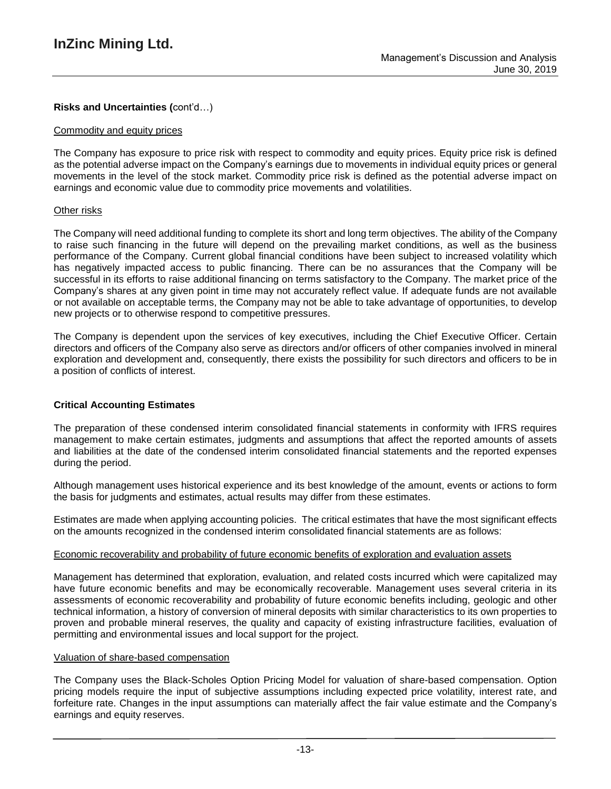# **Risks and Uncertainties (**cont'd…)

### Commodity and equity prices

The Company has exposure to price risk with respect to commodity and equity prices. Equity price risk is defined as the potential adverse impact on the Company's earnings due to movements in individual equity prices or general movements in the level of the stock market. Commodity price risk is defined as the potential adverse impact on earnings and economic value due to commodity price movements and volatilities.

### Other risks

The Company will need additional funding to complete its short and long term objectives. The ability of the Company to raise such financing in the future will depend on the prevailing market conditions, as well as the business performance of the Company. Current global financial conditions have been subject to increased volatility which has negatively impacted access to public financing. There can be no assurances that the Company will be successful in its efforts to raise additional financing on terms satisfactory to the Company. The market price of the Company's shares at any given point in time may not accurately reflect value. If adequate funds are not available or not available on acceptable terms, the Company may not be able to take advantage of opportunities, to develop new projects or to otherwise respond to competitive pressures.

The Company is dependent upon the services of key executives, including the Chief Executive Officer. Certain directors and officers of the Company also serve as directors and/or officers of other companies involved in mineral exploration and development and, consequently, there exists the possibility for such directors and officers to be in a position of conflicts of interest.

# **Critical Accounting Estimates**

The preparation of these condensed interim consolidated financial statements in conformity with IFRS requires management to make certain estimates, judgments and assumptions that affect the reported amounts of assets and liabilities at the date of the condensed interim consolidated financial statements and the reported expenses during the period.

Although management uses historical experience and its best knowledge of the amount, events or actions to form the basis for judgments and estimates, actual results may differ from these estimates.

Estimates are made when applying accounting policies. The critical estimates that have the most significant effects on the amounts recognized in the condensed interim consolidated financial statements are as follows:

# Economic recoverability and probability of future economic benefits of exploration and evaluation assets

Management has determined that exploration, evaluation, and related costs incurred which were capitalized may have future economic benefits and may be economically recoverable. Management uses several criteria in its assessments of economic recoverability and probability of future economic benefits including, geologic and other technical information, a history of conversion of mineral deposits with similar characteristics to its own properties to proven and probable mineral reserves, the quality and capacity of existing infrastructure facilities, evaluation of permitting and environmental issues and local support for the project.

#### Valuation of share-based compensation

The Company uses the Black-Scholes Option Pricing Model for valuation of share-based compensation. Option pricing models require the input of subjective assumptions including expected price volatility, interest rate, and forfeiture rate. Changes in the input assumptions can materially affect the fair value estimate and the Company's earnings and equity reserves.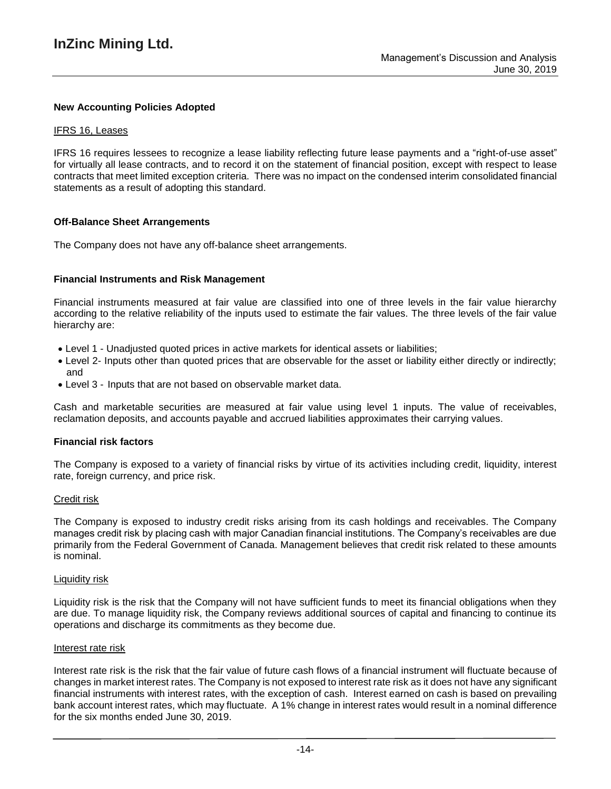### **New Accounting Policies Adopted**

#### IFRS 16, Leases

IFRS 16 requires lessees to recognize a lease liability reflecting future lease payments and a "right-of-use asset" for virtually all lease contracts, and to record it on the statement of financial position, except with respect to lease contracts that meet limited exception criteria. There was no impact on the condensed interim consolidated financial statements as a result of adopting this standard.

#### **Off-Balance Sheet Arrangements**

The Company does not have any off-balance sheet arrangements.

#### **Financial Instruments and Risk Management**

Financial instruments measured at fair value are classified into one of three levels in the fair value hierarchy according to the relative reliability of the inputs used to estimate the fair values. The three levels of the fair value hierarchy are:

- Level 1 Unadjusted quoted prices in active markets for identical assets or liabilities;
- Level 2- Inputs other than quoted prices that are observable for the asset or liability either directly or indirectly; and
- Level 3 Inputs that are not based on observable market data.

Cash and marketable securities are measured at fair value using level 1 inputs. The value of receivables, reclamation deposits, and accounts payable and accrued liabilities approximates their carrying values.

#### **Financial risk factors**

The Company is exposed to a variety of financial risks by virtue of its activities including credit, liquidity, interest rate, foreign currency, and price risk.

#### Credit risk

The Company is exposed to industry credit risks arising from its cash holdings and receivables. The Company manages credit risk by placing cash with major Canadian financial institutions. The Company's receivables are due primarily from the Federal Government of Canada. Management believes that credit risk related to these amounts is nominal.

#### Liquidity risk

Liquidity risk is the risk that the Company will not have sufficient funds to meet its financial obligations when they are due. To manage liquidity risk, the Company reviews additional sources of capital and financing to continue its operations and discharge its commitments as they become due.

#### Interest rate risk

Interest rate risk is the risk that the fair value of future cash flows of a financial instrument will fluctuate because of changes in market interest rates. The Company is not exposed to interest rate risk as it does not have any significant financial instruments with interest rates, with the exception of cash. Interest earned on cash is based on prevailing bank account interest rates, which may fluctuate. A 1% change in interest rates would result in a nominal difference for the six months ended June 30, 2019.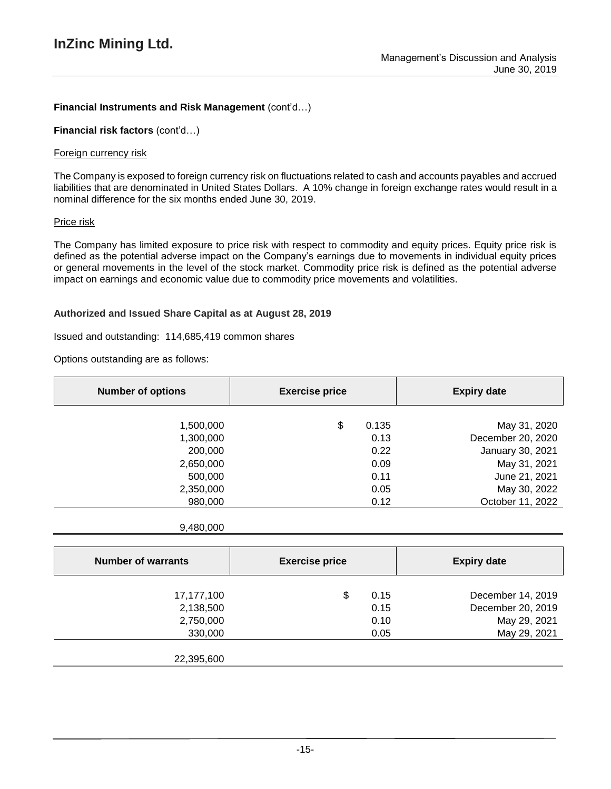# **Financial Instruments and Risk Management** (cont'd…)

**Financial risk factors** (cont'd…)

### Foreign currency risk

The Company is exposed to foreign currency risk on fluctuations related to cash and accounts payables and accrued liabilities that are denominated in United States Dollars. A 10% change in foreign exchange rates would result in a nominal difference for the six months ended June 30, 2019.

### Price risk

The Company has limited exposure to price risk with respect to commodity and equity prices. Equity price risk is defined as the potential adverse impact on the Company's earnings due to movements in individual equity prices or general movements in the level of the stock market. Commodity price risk is defined as the potential adverse impact on earnings and economic value due to commodity price movements and volatilities.

# **Authorized and Issued Share Capital as at August 28, 2019**

### Issued and outstanding: 114,685,419 common shares

Options outstanding are as follows:

| <b>Number of options</b> | <b>Exercise price</b> | <b>Expiry date</b>        |
|--------------------------|-----------------------|---------------------------|
|                          |                       |                           |
| 1,500,000                | \$<br>0.135           | May 31, 2020              |
| 1,300,000                |                       | December 20, 2020<br>0.13 |
| 200,000                  |                       | January 30, 2021<br>0.22  |
| 2,650,000                |                       | May 31, 2021<br>0.09      |
| 500,000                  |                       | June 21, 2021<br>0.11     |
| 2,350,000                |                       | May 30, 2022<br>0.05      |
| 980,000                  |                       | October 11, 2022<br>0.12  |

#### 9,480,000

| <b>Number of warrants</b> | <b>Exercise price</b> |      | <b>Expiry date</b> |
|---------------------------|-----------------------|------|--------------------|
| 17,177,100                | \$                    | 0.15 | December 14, 2019  |
| 2,138,500                 |                       | 0.15 | December 20, 2019  |
| 2,750,000                 |                       | 0.10 | May 29, 2021       |
| 330,000                   |                       | 0.05 | May 29, 2021       |
|                           |                       |      |                    |
| 22,395,600                |                       |      |                    |